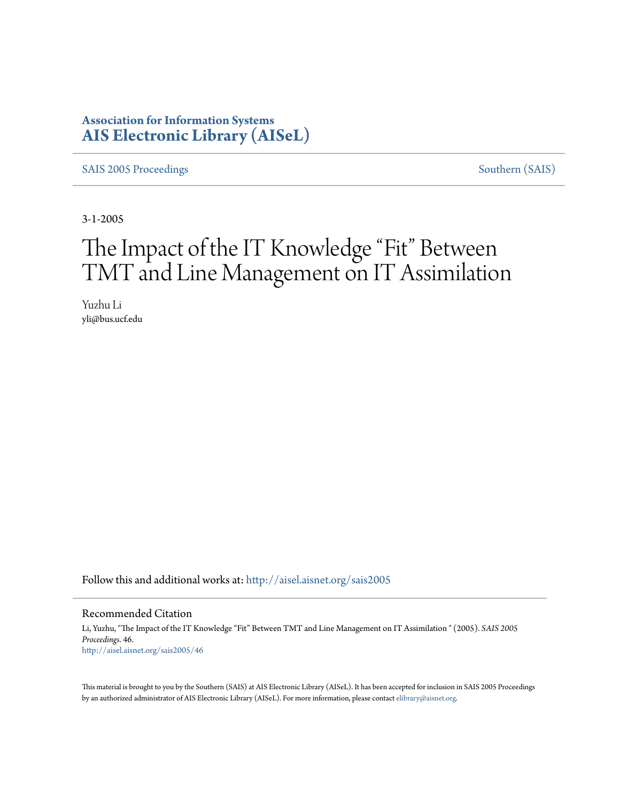## **Association for Information Systems [AIS Electronic Library \(AISeL\)](http://aisel.aisnet.org?utm_source=aisel.aisnet.org%2Fsais2005%2F46&utm_medium=PDF&utm_campaign=PDFCoverPages)**

[SAIS 2005 Proceedings](http://aisel.aisnet.org/sais2005?utm_source=aisel.aisnet.org%2Fsais2005%2F46&utm_medium=PDF&utm_campaign=PDFCoverPages) [Southern \(SAIS\)](http://aisel.aisnet.org/sais?utm_source=aisel.aisnet.org%2Fsais2005%2F46&utm_medium=PDF&utm_campaign=PDFCoverPages)

3-1-2005

# The Impact of the IT Knowledge "Fit" Between TMT and Line Management on IT Assimilation

Yuzhu Li yli@bus.ucf.edu

Follow this and additional works at: [http://aisel.aisnet.org/sais2005](http://aisel.aisnet.org/sais2005?utm_source=aisel.aisnet.org%2Fsais2005%2F46&utm_medium=PDF&utm_campaign=PDFCoverPages)

#### Recommended Citation

Li, Yuzhu, "The Impact of the IT Knowledge "Fit" Between TMT and Line Management on IT Assimilation " (2005). *SAIS 2005 Proceedings*. 46. [http://aisel.aisnet.org/sais2005/46](http://aisel.aisnet.org/sais2005/46?utm_source=aisel.aisnet.org%2Fsais2005%2F46&utm_medium=PDF&utm_campaign=PDFCoverPages)

This material is brought to you by the Southern (SAIS) at AIS Electronic Library (AISeL). It has been accepted for inclusion in SAIS 2005 Proceedings by an authorized administrator of AIS Electronic Library (AISeL). For more information, please contact [elibrary@aisnet.org](mailto:elibrary@aisnet.org%3E).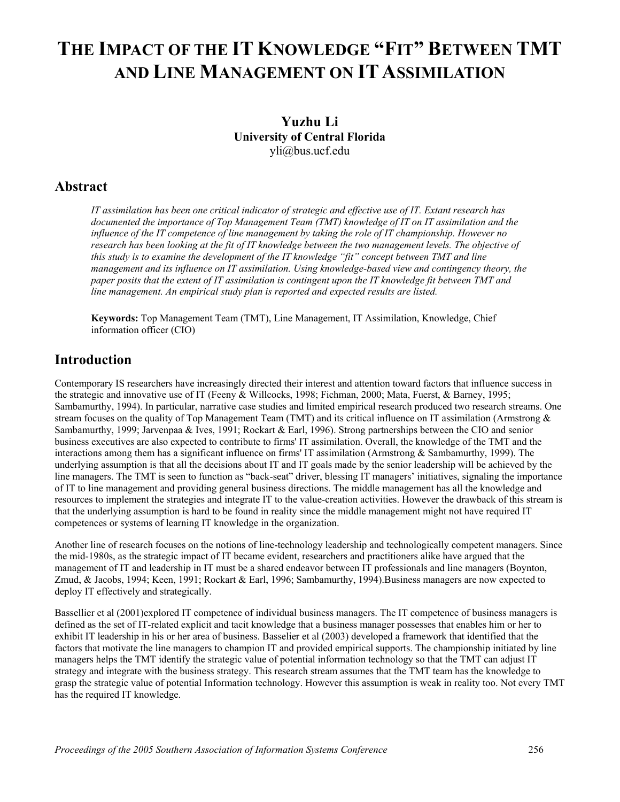## **THE IMPACT OF THE IT KNOWLEDGE "FIT" BETWEEN TMT AND LINE MANAGEMENT ON ITASSIMILATION**

## **Yuzhu Li University of Central Florida**  yli@bus.ucf.edu

## **Abstract**

*IT assimilation has been one critical indicator of strategic and effective use of IT. Extant research has documented the importance of Top Management Team (TMT) knowledge of IT on IT assimilation and the influence of the IT competence of line management by taking the role of IT championship. However no research has been looking at the fit of IT knowledge between the two management levels. The objective of this study is to examine the development of the IT knowledge "fit" concept between TMT and line management and its influence on IT assimilation. Using knowledge-based view and contingency theory, the paper posits that the extent of IT assimilation is contingent upon the IT knowledge fit between TMT and line management. An empirical study plan is reported and expected results are listed.*

**Keywords:** Top Management Team (TMT), Line Management, IT Assimilation, Knowledge, Chief information officer (CIO)

## **Introduction**

Contemporary IS researchers have increasingly directed their interest and attention toward factors that influence success in the strategic and innovative use of IT (Feeny & Willcocks, 1998; Fichman, 2000; Mata, Fuerst, & Barney, 1995; Sambamurthy, 1994). In particular, narrative case studies and limited empirical research produced two research streams. One stream focuses on the quality of Top Management Team (TMT) and its critical influence on IT assimilation (Armstrong & Sambamurthy, 1999; Jarvenpaa & Ives, 1991; Rockart & Earl, 1996). Strong partnerships between the CIO and senior business executives are also expected to contribute to firms' IT assimilation. Overall, the knowledge of the TMT and the interactions among them has a significant influence on firms' IT assimilation (Armstrong & Sambamurthy, 1999). The underlying assumption is that all the decisions about IT and IT goals made by the senior leadership will be achieved by the line managers. The TMT is seen to function as "back-seat" driver, blessing IT managers' initiatives, signaling the importance of IT to line management and providing general business directions. The middle management has all the knowledge and resources to implement the strategies and integrate IT to the value-creation activities. However the drawback of this stream is that the underlying assumption is hard to be found in reality since the middle management might not have required IT competences or systems of learning IT knowledge in the organization.

Another line of research focuses on the notions of line-technology leadership and technologically competent managers. Since the mid-1980s, as the strategic impact of IT became evident, researchers and practitioners alike have argued that the management of IT and leadership in IT must be a shared endeavor between IT professionals and line managers (Boynton, Zmud, & Jacobs, 1994; Keen, 1991; Rockart & Earl, 1996; Sambamurthy, 1994).Business managers are now expected to deploy IT effectively and strategically.

Bassellier et al (2001)explored IT competence of individual business managers. The IT competence of business managers is defined as the set of IT-related explicit and tacit knowledge that a business manager possesses that enables him or her to exhibit IT leadership in his or her area of business. Basselier et al (2003) developed a framework that identified that the factors that motivate the line managers to champion IT and provided empirical supports. The championship initiated by line managers helps the TMT identify the strategic value of potential information technology so that the TMT can adjust IT strategy and integrate with the business strategy. This research stream assumes that the TMT team has the knowledge to grasp the strategic value of potential Information technology. However this assumption is weak in reality too. Not every TMT has the required IT knowledge.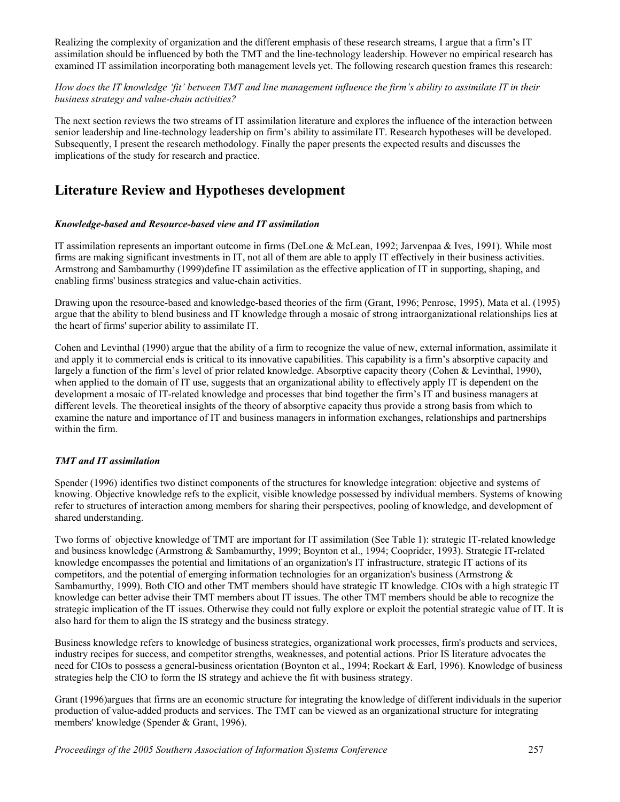Realizing the complexity of organization and the different emphasis of these research streams, I argue that a firm's IT assimilation should be influenced by both the TMT and the line-technology leadership. However no empirical research has examined IT assimilation incorporating both management levels yet. The following research question frames this research:

#### *How does the IT knowledge 'fit' between TMT and line management influence the firm's ability to assimilate IT in their business strategy and value-chain activities?*

The next section reviews the two streams of IT assimilation literature and explores the influence of the interaction between senior leadership and line-technology leadership on firm's ability to assimilate IT. Research hypotheses will be developed. Subsequently, I present the research methodology. Finally the paper presents the expected results and discusses the implications of the study for research and practice.

## **Literature Review and Hypotheses development**

#### *Knowledge-based and Resource-based view and IT assimilation*

IT assimilation represents an important outcome in firms (DeLone & McLean, 1992; Jarvenpaa & Ives, 1991). While most firms are making significant investments in IT, not all of them are able to apply IT effectively in their business activities. Armstrong and Sambamurthy (1999)define IT assimilation as the effective application of IT in supporting, shaping, and enabling firms' business strategies and value-chain activities.

Drawing upon the resource-based and knowledge-based theories of the firm (Grant, 1996; Penrose, 1995), Mata et al. (1995) argue that the ability to blend business and IT knowledge through a mosaic of strong intraorganizational relationships lies at the heart of firms' superior ability to assimilate IT.

Cohen and Levinthal (1990) argue that the ability of a firm to recognize the value of new, external information, assimilate it and apply it to commercial ends is critical to its innovative capabilities. This capability is a firm's absorptive capacity and largely a function of the firm's level of prior related knowledge. Absorptive capacity theory (Cohen & Levinthal, 1990), when applied to the domain of IT use, suggests that an organizational ability to effectively apply IT is dependent on the development a mosaic of IT-related knowledge and processes that bind together the firm's IT and business managers at different levels. The theoretical insights of the theory of absorptive capacity thus provide a strong basis from which to examine the nature and importance of IT and business managers in information exchanges, relationships and partnerships within the firm.

#### *TMT and IT assimilation*

Spender (1996) identifies two distinct components of the structures for knowledge integration: objective and systems of knowing. Objective knowledge refs to the explicit, visible knowledge possessed by individual members. Systems of knowing refer to structures of interaction among members for sharing their perspectives, pooling of knowledge, and development of shared understanding.

Two forms of objective knowledge of TMT are important for IT assimilation (See Table 1): strategic IT-related knowledge and business knowledge (Armstrong & Sambamurthy, 1999; Boynton et al., 1994; Cooprider, 1993). Strategic IT-related knowledge encompasses the potential and limitations of an organization's IT infrastructure, strategic IT actions of its competitors, and the potential of emerging information technologies for an organization's business (Armstrong  $\&$ Sambamurthy, 1999). Both CIO and other TMT members should have strategic IT knowledge. CIOs with a high strategic IT knowledge can better advise their TMT members about IT issues. The other TMT members should be able to recognize the strategic implication of the IT issues. Otherwise they could not fully explore or exploit the potential strategic value of IT. It is also hard for them to align the IS strategy and the business strategy.

Business knowledge refers to knowledge of business strategies, organizational work processes, firm's products and services, industry recipes for success, and competitor strengths, weaknesses, and potential actions. Prior IS literature advocates the need for CIOs to possess a general-business orientation (Boynton et al., 1994; Rockart & Earl, 1996). Knowledge of business strategies help the CIO to form the IS strategy and achieve the fit with business strategy.

Grant (1996)argues that firms are an economic structure for integrating the knowledge of different individuals in the superior production of value-added products and services. The TMT can be viewed as an organizational structure for integrating members' knowledge (Spender & Grant, 1996).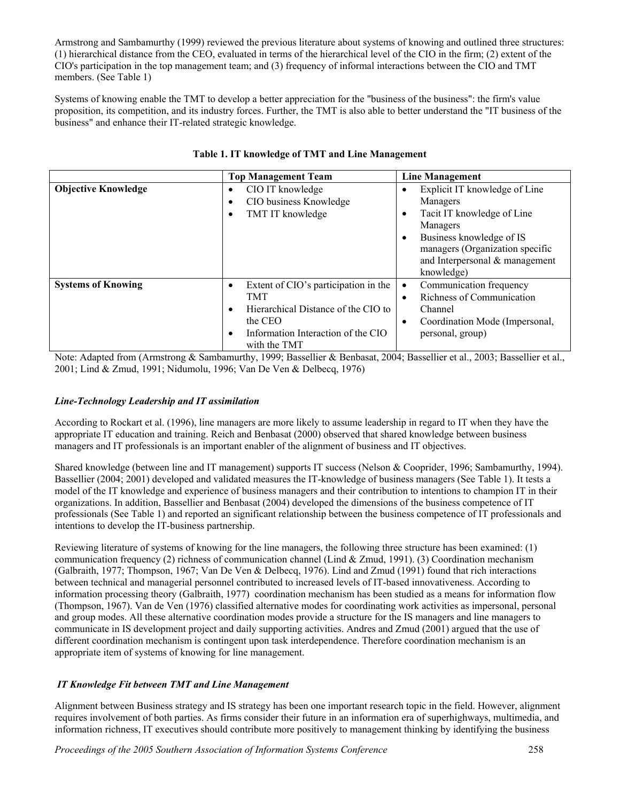Armstrong and Sambamurthy (1999) reviewed the previous literature about systems of knowing and outlined three structures: (1) hierarchical distance from the CEO, evaluated in terms of the hierarchical level of the CIO in the firm; (2) extent of the CIO's participation in the top management team; and (3) frequency of informal interactions between the CIO and TMT members. (See Table 1)

Systems of knowing enable the TMT to develop a better appreciation for the "business of the business": the firm's value proposition, its competition, and its industry forces. Further, the TMT is also able to better understand the "IT business of the business" and enhance their IT-related strategic knowledge.

|                            | <b>Top Management Team</b>                                                                                                                                                                        | Line Management                                                                                                                                                                                                 |
|----------------------------|---------------------------------------------------------------------------------------------------------------------------------------------------------------------------------------------------|-----------------------------------------------------------------------------------------------------------------------------------------------------------------------------------------------------------------|
| <b>Objective Knowledge</b> | CIO IT knowledge<br>CIO business Knowledge<br>TMT IT knowledge                                                                                                                                    | Explicit IT knowledge of Line<br>Managers<br>Tacit IT knowledge of Line<br>$\bullet$<br>Managers<br>Business knowledge of IS<br>managers (Organization specific<br>and Interpersonal & management<br>knowledge) |
| <b>Systems of Knowing</b>  | Extent of CIO's participation in the<br>$\bullet$<br><b>TMT</b><br>Hierarchical Distance of the CIO to<br>$\bullet$<br>the CEO<br>Information Interaction of the CIO<br>$\bullet$<br>with the TMT | Communication frequency<br>Richness of Communication<br>Channel<br>Coordination Mode (Impersonal,<br>personal, group)                                                                                           |

#### **Table 1. IT knowledge of TMT and Line Management**

Note: Adapted from (Armstrong & Sambamurthy, 1999; Bassellier & Benbasat, 2004; Bassellier et al., 2003; Bassellier et al., 2001; Lind & Zmud, 1991; Nidumolu, 1996; Van De Ven & Delbecq, 1976)

#### *Line-Technology Leadership and IT assimilation*

According to Rockart et al. (1996), line managers are more likely to assume leadership in regard to IT when they have the appropriate IT education and training. Reich and Benbasat (2000) observed that shared knowledge between business managers and IT professionals is an important enabler of the alignment of business and IT objectives.

Shared knowledge (between line and IT management) supports IT success (Nelson & Cooprider, 1996; Sambamurthy, 1994). Bassellier (2004; 2001) developed and validated measures the IT-knowledge of business managers (See Table 1). It tests a model of the IT knowledge and experience of business managers and their contribution to intentions to champion IT in their organizations. In addition, Bassellier and Benbasat (2004) developed the dimensions of the business competence of IT professionals (See Table 1) and reported an significant relationship between the business competence of IT professionals and intentions to develop the IT-business partnership.

Reviewing literature of systems of knowing for the line managers, the following three structure has been examined: (1) communication frequency (2) richness of communication channel (Lind & Zmud, 1991). (3) Coordination mechanism (Galbraith, 1977; Thompson, 1967; Van De Ven & Delbecq, 1976). Lind and Zmud (1991) found that rich interactions between technical and managerial personnel contributed to increased levels of IT-based innovativeness. According to information processing theory (Galbraith, 1977) coordination mechanism has been studied as a means for information flow (Thompson, 1967). Van de Ven (1976) classified alternative modes for coordinating work activities as impersonal, personal and group modes. All these alternative coordination modes provide a structure for the IS managers and line managers to communicate in IS development project and daily supporting activities. Andres and Zmud (2001) argued that the use of different coordination mechanism is contingent upon task interdependence. Therefore coordination mechanism is an appropriate item of systems of knowing for line management.

#### *IT Knowledge Fit between TMT and Line Management*

Alignment between Business strategy and IS strategy has been one important research topic in the field. However, alignment requires involvement of both parties. As firms consider their future in an information era of superhighways, multimedia, and information richness, IT executives should contribute more positively to management thinking by identifying the business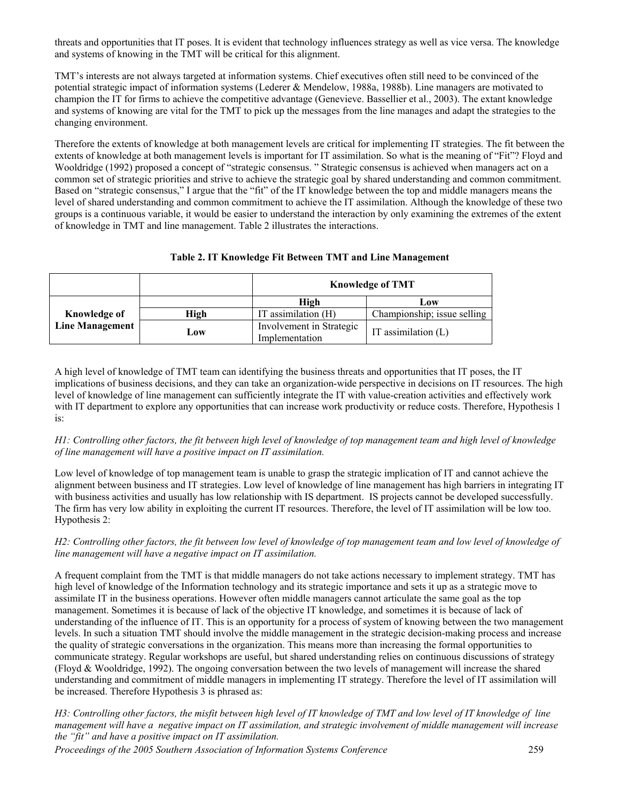threats and opportunities that IT poses. It is evident that technology influences strategy as well as vice versa. The knowledge and systems of knowing in the TMT will be critical for this alignment.

TMT's interests are not always targeted at information systems. Chief executives often still need to be convinced of the potential strategic impact of information systems (Lederer & Mendelow, 1988a, 1988b). Line managers are motivated to champion the IT for firms to achieve the competitive advantage (Genevieve. Bassellier et al., 2003). The extant knowledge and systems of knowing are vital for the TMT to pick up the messages from the line manages and adapt the strategies to the changing environment.

Therefore the extents of knowledge at both management levels are critical for implementing IT strategies. The fit between the extents of knowledge at both management levels is important for IT assimilation. So what is the meaning of "Fit"? Floyd and Wooldridge (1992) proposed a concept of "strategic consensus. " Strategic consensus is achieved when managers act on a common set of strategic priorities and strive to achieve the strategic goal by shared understanding and common commitment. Based on "strategic consensus," I argue that the "fit" of the IT knowledge between the top and middle managers means the level of shared understanding and common commitment to achieve the IT assimilation. Although the knowledge of these two groups is a continuous variable, it would be easier to understand the interaction by only examining the extremes of the extent of knowledge in TMT and line management. Table 2 illustrates the interactions.

#### **Table 2. IT Knowledge Fit Between TMT and Line Management**

|                                        |      | <b>Knowledge of TMT</b>                    |                             |
|----------------------------------------|------|--------------------------------------------|-----------------------------|
|                                        |      | High                                       | Low                         |
| Knowledge of<br><b>Line Management</b> | High | IT assimilation $(H)$                      | Championship; issue selling |
|                                        | Low  | Involvement in Strategic<br>Implementation | IT assimilation $(L)$       |

A high level of knowledge of TMT team can identifying the business threats and opportunities that IT poses, the IT implications of business decisions, and they can take an organization-wide perspective in decisions on IT resources. The high level of knowledge of line management can sufficiently integrate the IT with value-creation activities and effectively work with IT department to explore any opportunities that can increase work productivity or reduce costs. Therefore, Hypothesis 1 is:

*H1: Controlling other factors, the fit between high level of knowledge of top management team and high level of knowledge of line management will have a positive impact on IT assimilation.*

Low level of knowledge of top management team is unable to grasp the strategic implication of IT and cannot achieve the alignment between business and IT strategies. Low level of knowledge of line management has high barriers in integrating IT with business activities and usually has low relationship with IS department. IS projects cannot be developed successfully. The firm has very low ability in exploiting the current IT resources. Therefore, the level of IT assimilation will be low too. Hypothesis 2:

#### *H2: Controlling other factors, the fit between low level of knowledge of top management team and low level of knowledge of line management will have a negative impact on IT assimilation.*

A frequent complaint from the TMT is that middle managers do not take actions necessary to implement strategy. TMT has high level of knowledge of the Information technology and its strategic importance and sets it up as a strategic move to assimilate IT in the business operations. However often middle managers cannot articulate the same goal as the top management. Sometimes it is because of lack of the objective IT knowledge, and sometimes it is because of lack of understanding of the influence of IT. This is an opportunity for a process of system of knowing between the two management levels. In such a situation TMT should involve the middle management in the strategic decision-making process and increase the quality of strategic conversations in the organization. This means more than increasing the formal opportunities to communicate strategy. Regular workshops are useful, but shared understanding relies on continuous discussions of strategy (Floyd & Wooldridge, 1992). The ongoing conversation between the two levels of management will increase the shared understanding and commitment of middle managers in implementing IT strategy. Therefore the level of IT assimilation will be increased. Therefore Hypothesis 3 is phrased as:

*H3: Controlling other factors, the misfit between high level of IT knowledge of TMT and low level of IT knowledge of line management will have a negative impact on IT assimilation, and strategic involvement of middle management will increase the "fit" and have a positive impact on IT assimilation.* 

*Proceedings of the 2005 Southern Association of Information Systems Conference* 259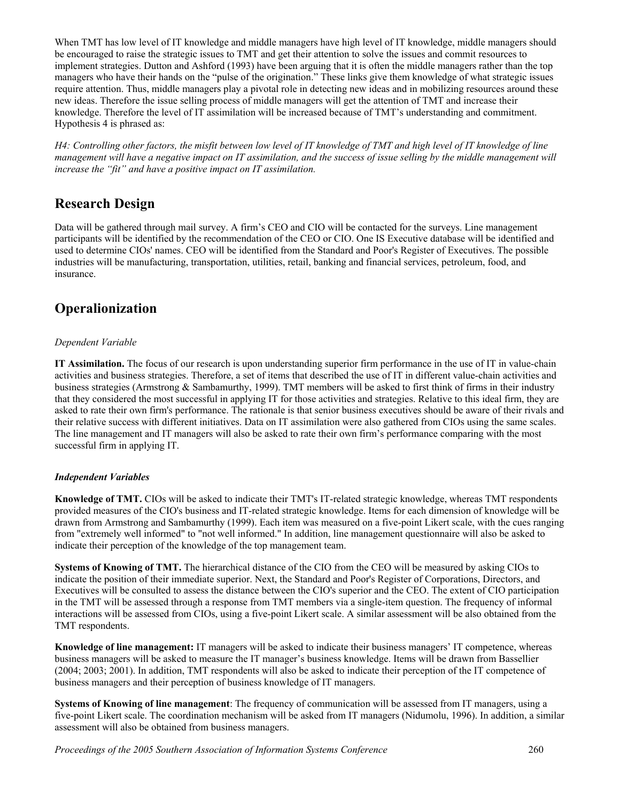When TMT has low level of IT knowledge and middle managers have high level of IT knowledge, middle managers should be encouraged to raise the strategic issues to TMT and get their attention to solve the issues and commit resources to implement strategies. Dutton and Ashford (1993) have been arguing that it is often the middle managers rather than the top managers who have their hands on the "pulse of the origination." These links give them knowledge of what strategic issues require attention. Thus, middle managers play a pivotal role in detecting new ideas and in mobilizing resources around these new ideas. Therefore the issue selling process of middle managers will get the attention of TMT and increase their knowledge. Therefore the level of IT assimilation will be increased because of TMT's understanding and commitment. Hypothesis 4 is phrased as:

*H4: Controlling other factors, the misfit between low level of IT knowledge of TMT and high level of IT knowledge of line management will have a negative impact on IT assimilation, and the success of issue selling by the middle management will increase the "fit" and have a positive impact on IT assimilation.*

## **Research Design**

Data will be gathered through mail survey. A firm's CEO and CIO will be contacted for the surveys. Line management participants will be identified by the recommendation of the CEO or CIO. One IS Executive database will be identified and used to determine CIOs' names. CEO will be identified from the Standard and Poor's Register of Executives. The possible industries will be manufacturing, transportation, utilities, retail, banking and financial services, petroleum, food, and insurance.

## **Operalionization**

#### *Dependent Variable*

**IT Assimilation.** The focus of our research is upon understanding superior firm performance in the use of IT in value-chain activities and business strategies. Therefore, a set of items that described the use of IT in different value-chain activities and business strategies (Armstrong  $\&$  Sambamurthy, 1999). TMT members will be asked to first think of firms in their industry that they considered the most successful in applying IT for those activities and strategies. Relative to this ideal firm, they are asked to rate their own firm's performance. The rationale is that senior business executives should be aware of their rivals and their relative success with different initiatives. Data on IT assimilation were also gathered from CIOs using the same scales. The line management and IT managers will also be asked to rate their own firm's performance comparing with the most successful firm in applying IT.

#### *Independent Variables*

**Knowledge of TMT.** CIOs will be asked to indicate their TMT's IT-related strategic knowledge, whereas TMT respondents provided measures of the CIO's business and IT-related strategic knowledge. Items for each dimension of knowledge will be drawn from Armstrong and Sambamurthy (1999). Each item was measured on a five-point Likert scale, with the cues ranging from "extremely well informed" to "not well informed." In addition, line management questionnaire will also be asked to indicate their perception of the knowledge of the top management team.

**Systems of Knowing of TMT.** The hierarchical distance of the CIO from the CEO will be measured by asking CIOs to indicate the position of their immediate superior. Next, the Standard and Poor's Register of Corporations, Directors, and Executives will be consulted to assess the distance between the CIO's superior and the CEO. The extent of CIO participation in the TMT will be assessed through a response from TMT members via a single-item question. The frequency of informal interactions will be assessed from CIOs, using a five-point Likert scale. A similar assessment will be also obtained from the TMT respondents.

**Knowledge of line management:** IT managers will be asked to indicate their business managers' IT competence, whereas business managers will be asked to measure the IT manager's business knowledge. Items will be drawn from Bassellier (2004; 2003; 2001). In addition, TMT respondents will also be asked to indicate their perception of the IT competence of business managers and their perception of business knowledge of IT managers.

**Systems of Knowing of line management**: The frequency of communication will be assessed from IT managers, using a five-point Likert scale. The coordination mechanism will be asked from IT managers (Nidumolu, 1996). In addition, a similar assessment will also be obtained from business managers.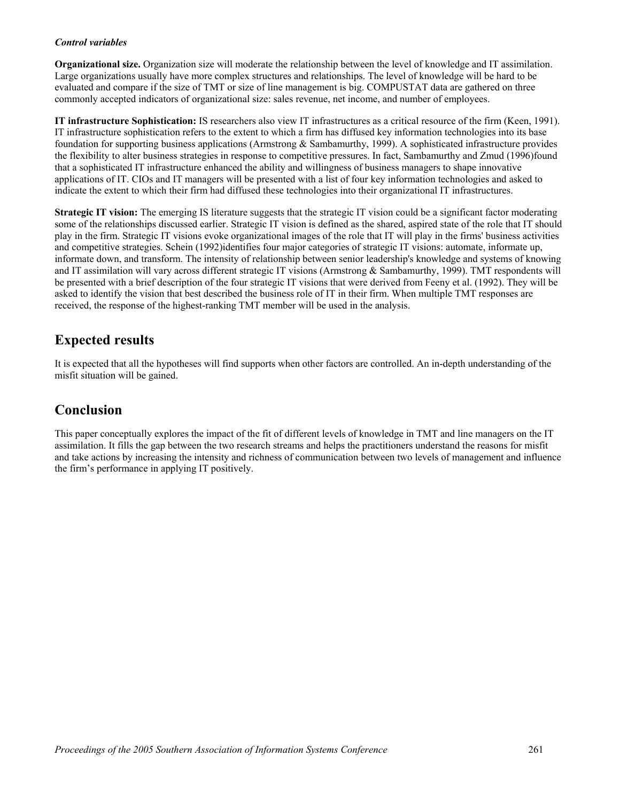#### *Control variables*

**Organizational size.** Organization size will moderate the relationship between the level of knowledge and IT assimilation. Large organizations usually have more complex structures and relationships. The level of knowledge will be hard to be evaluated and compare if the size of TMT or size of line management is big. COMPUSTAT data are gathered on three commonly accepted indicators of organizational size: sales revenue, net income, and number of employees.

**IT infrastructure Sophistication:** IS researchers also view IT infrastructures as a critical resource of the firm (Keen, 1991). IT infrastructure sophistication refers to the extent to which a firm has diffused key information technologies into its base foundation for supporting business applications (Armstrong & Sambamurthy, 1999). A sophisticated infrastructure provides the flexibility to alter business strategies in response to competitive pressures. In fact, Sambamurthy and Zmud (1996)found that a sophisticated IT infrastructure enhanced the ability and willingness of business managers to shape innovative applications of IT. CIOs and IT managers will be presented with a list of four key information technologies and asked to indicate the extent to which their firm had diffused these technologies into their organizational IT infrastructures.

**Strategic IT vision:** The emerging IS literature suggests that the strategic IT vision could be a significant factor moderating some of the relationships discussed earlier. Strategic IT vision is defined as the shared, aspired state of the role that IT should play in the firm. Strategic IT visions evoke organizational images of the role that IT will play in the firms' business activities and competitive strategies. Schein (1992)identifies four major categories of strategic IT visions: automate, informate up, informate down, and transform. The intensity of relationship between senior leadership's knowledge and systems of knowing and IT assimilation will vary across different strategic IT visions (Armstrong & Sambamurthy, 1999). TMT respondents will be presented with a brief description of the four strategic IT visions that were derived from Feeny et al. (1992). They will be asked to identify the vision that best described the business role of IT in their firm. When multiple TMT responses are received, the response of the highest-ranking TMT member will be used in the analysis.

## **Expected results**

It is expected that all the hypotheses will find supports when other factors are controlled. An in-depth understanding of the misfit situation will be gained.

## **Conclusion**

This paper conceptually explores the impact of the fit of different levels of knowledge in TMT and line managers on the IT assimilation. It fills the gap between the two research streams and helps the practitioners understand the reasons for misfit and take actions by increasing the intensity and richness of communication between two levels of management and influence the firm's performance in applying IT positively.